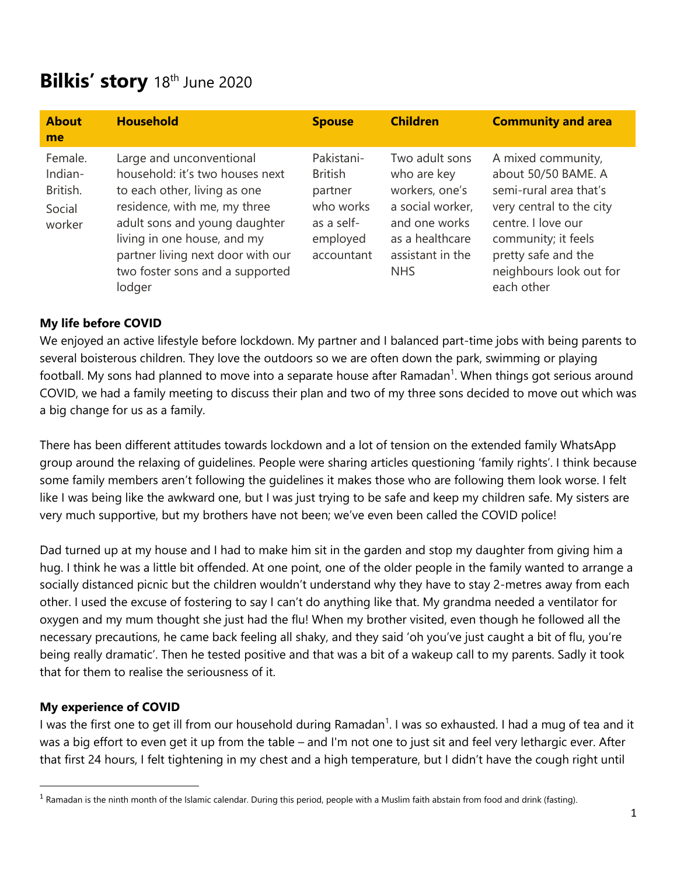# **Bilkis' story** 18th June 2020

| <b>About</b><br>me                                 | <b>Household</b>                                                                                                                                                                                                                                                              | <b>Spouse</b>                                                                                | <b>Children</b>                                                                                                                           | <b>Community and area</b>                                                                                                                                                                                    |
|----------------------------------------------------|-------------------------------------------------------------------------------------------------------------------------------------------------------------------------------------------------------------------------------------------------------------------------------|----------------------------------------------------------------------------------------------|-------------------------------------------------------------------------------------------------------------------------------------------|--------------------------------------------------------------------------------------------------------------------------------------------------------------------------------------------------------------|
| Female.<br>Indian-<br>British.<br>Social<br>worker | Large and unconventional<br>household: it's two houses next<br>to each other, living as one<br>residence, with me, my three<br>adult sons and young daughter<br>living in one house, and my<br>partner living next door with our<br>two foster sons and a supported<br>lodger | Pakistani-<br><b>British</b><br>partner<br>who works<br>as a self-<br>employed<br>accountant | Two adult sons<br>who are key<br>workers, one's<br>a social worker,<br>and one works<br>as a healthcare<br>assistant in the<br><b>NHS</b> | A mixed community,<br>about 50/50 BAME. A<br>semi-rural area that's<br>very central to the city<br>centre. I love our<br>community; it feels<br>pretty safe and the<br>neighbours look out for<br>each other |

### **My life before COVID**

We enjoyed an active lifestyle before lockdown. My partner and I balanced part-time jobs with being parents to several boisterous children. They love the outdoors so we are often down the park, swimming or playing football. My sons had planned to move into a separate house after Ramadan<sup>1</sup>. When things got serious around COVID, we had a family meeting to discuss their plan and two of my three sons decided to move out which was a big change for us as a family.

There has been different attitudes towards lockdown and a lot of tension on the extended family WhatsApp group around the relaxing of guidelines. People were sharing articles questioning 'family rights'. I think because some family members aren't following the guidelines it makes those who are following them look worse. I felt like I was being like the awkward one, but I was just trying to be safe and keep my children safe. My sisters are very much supportive, but my brothers have not been; we've even been called the COVID police!

Dad turned up at my house and I had to make him sit in the garden and stop my daughter from giving him a hug. I think he was a little bit offended. At one point, one of the older people in the family wanted to arrange a socially distanced picnic but the children wouldn't understand why they have to stay 2-metres away from each other. I used the excuse of fostering to say I can't do anything like that. My grandma needed a ventilator for oxygen and my mum thought she just had the flu! When my brother visited, even though he followed all the necessary precautions, he came back feeling all shaky, and they said 'oh you've just caught a bit of flu, you're being really dramatic'. Then he tested positive and that was a bit of a wakeup call to my parents. Sadly it took that for them to realise the seriousness of it.

#### **My experience of COVID**

I was the first one to get ill from our household during Ramadan<sup>1</sup>. I was so exhausted. I had a mug of tea and it was a big effort to even get it up from the table – and I'm not one to just sit and feel very lethargic ever. After that first 24 hours, I felt tightening in my chest and a high temperature, but I didn't have the cough right until

 $1$  Ramadan is the ninth month of the Islamic calendar. During this period, people with a Muslim faith abstain from food and drink (fasting).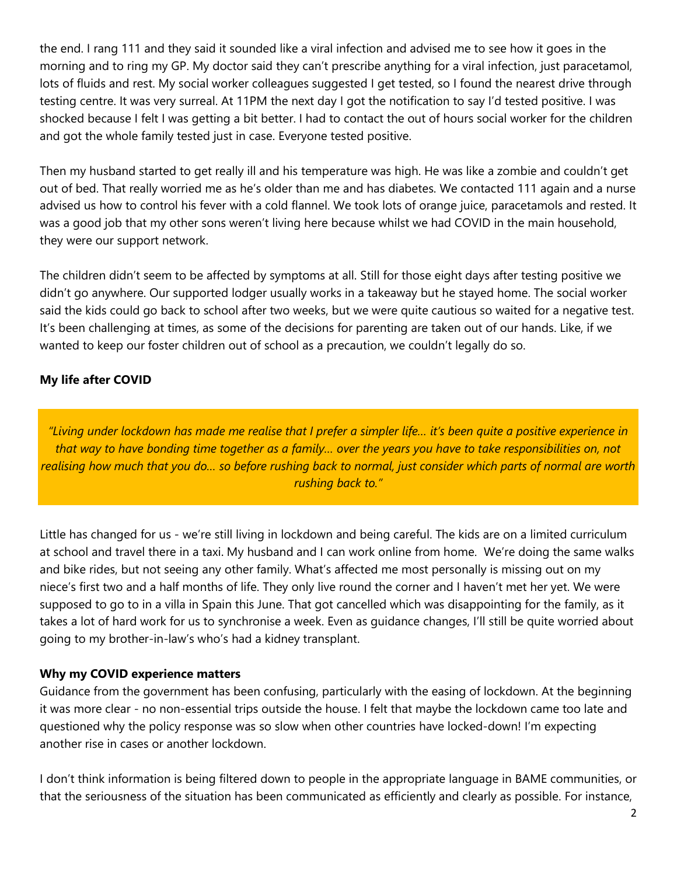the end. I rang 111 and they said it sounded like a viral infection and advised me to see how it goes in the morning and to ring my GP. My doctor said they can't prescribe anything for a viral infection, just paracetamol, lots of fluids and rest. My social worker colleagues suggested I get tested, so I found the nearest drive through testing centre. It was very surreal. At 11PM the next day I got the notification to say I'd tested positive. I was shocked because I felt I was getting a bit better. I had to contact the out of hours social worker for the children and got the whole family tested just in case. Everyone tested positive.

Then my husband started to get really ill and his temperature was high. He was like a zombie and couldn't get out of bed. That really worried me as he's older than me and has diabetes. We contacted 111 again and a nurse advised us how to control his fever with a cold flannel. We took lots of orange juice, paracetamols and rested. It was a good job that my other sons weren't living here because whilst we had COVID in the main household, they were our support network.

The children didn't seem to be affected by symptoms at all. Still for those eight days after testing positive we didn't go anywhere. Our supported lodger usually works in a takeaway but he stayed home. The social worker said the kids could go back to school after two weeks, but we were quite cautious so waited for a negative test. It's been challenging at times, as some of the decisions for parenting are taken out of our hands. Like, if we wanted to keep our foster children out of school as a precaution, we couldn't legally do so.

## **My life after COVID**

*"Living under lockdown has made me realise that I prefer a simpler life… it's been quite a positive experience in that way to have bonding time together as a family… over the years you have to take responsibilities on, not realising how much that you do… so before rushing back to normal, just consider which parts of normal are worth rushing back to."*

Little has changed for us - we're still living in lockdown and being careful. The kids are on a limited curriculum at school and travel there in a taxi. My husband and I can work online from home. We're doing the same walks and bike rides, but not seeing any other family. What's affected me most personally is missing out on my niece's first two and a half months of life. They only live round the corner and I haven't met her yet. We were supposed to go to in a villa in Spain this June. That got cancelled which was disappointing for the family, as it takes a lot of hard work for us to synchronise a week. Even as guidance changes, I'll still be quite worried about going to my brother-in-law's who's had a kidney transplant.

#### **Why my COVID experience matters**

Guidance from the government has been confusing, particularly with the easing of lockdown. At the beginning it was more clear - no non-essential trips outside the house. I felt that maybe the lockdown came too late and questioned why the policy response was so slow when other countries have locked-down! I'm expecting another rise in cases or another lockdown.

I don't think information is being filtered down to people in the appropriate language in BAME communities, or that the seriousness of the situation has been communicated as efficiently and clearly as possible. For instance,